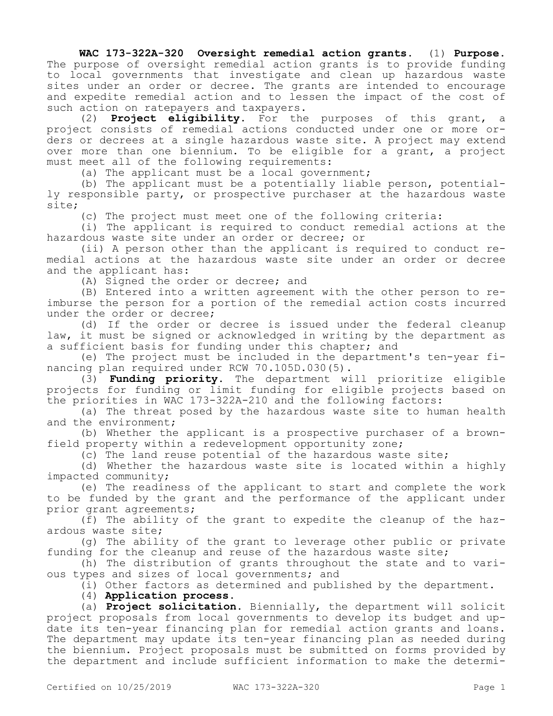## **WAC 173-322A-320 Oversight remedial action grants.** (1) **Purpose.**  The purpose of oversight remedial action grants is to provide funding to local governments that investigate and clean up hazardous waste sites under an order or decree. The grants are intended to encourage and expedite remedial action and to lessen the impact of the cost of such action on ratepayers and taxpayers.

(2) **Project eligibility.** For the purposes of this grant, a project consists of remedial actions conducted under one or more orders or decrees at a single hazardous waste site. A project may extend over more than one biennium. To be eligible for a grant, a project must meet all of the following requirements:

(a) The applicant must be a local government;

(b) The applicant must be a potentially liable person, potentially responsible party, or prospective purchaser at the hazardous waste site;

(c) The project must meet one of the following criteria:

(i) The applicant is required to conduct remedial actions at the hazardous waste site under an order or decree; or

(ii) A person other than the applicant is required to conduct remedial actions at the hazardous waste site under an order or decree and the applicant has:

(A) Signed the order or decree; and

(B) Entered into a written agreement with the other person to reimburse the person for a portion of the remedial action costs incurred under the order or decree;

(d) If the order or decree is issued under the federal cleanup law, it must be signed or acknowledged in writing by the department as a sufficient basis for funding under this chapter; and

(e) The project must be included in the department's ten-year financing plan required under RCW 70.105D.030(5).

(3) **Funding priority.** The department will prioritize eligible projects for funding or limit funding for eligible projects based on the priorities in WAC 173-322A-210 and the following factors:

(a) The threat posed by the hazardous waste site to human health and the environment;

(b) Whether the applicant is a prospective purchaser of a brownfield property within a redevelopment opportunity zone;

(c) The land reuse potential of the hazardous waste site;

(d) Whether the hazardous waste site is located within a highly impacted community;

(e) The readiness of the applicant to start and complete the work to be funded by the grant and the performance of the applicant under prior grant agreements;

(f) The ability of the grant to expedite the cleanup of the hazardous waste site;

(g) The ability of the grant to leverage other public or private funding for the cleanup and reuse of the hazardous waste site;

(h) The distribution of grants throughout the state and to various types and sizes of local governments; and

(i) Other factors as determined and published by the department.

(4) **Application process.**

(a) **Project solicitation.** Biennially, the department will solicit project proposals from local governments to develop its budget and update its ten-year financing plan for remedial action grants and loans. The department may update its ten-year financing plan as needed during the biennium. Project proposals must be submitted on forms provided by the department and include sufficient information to make the determi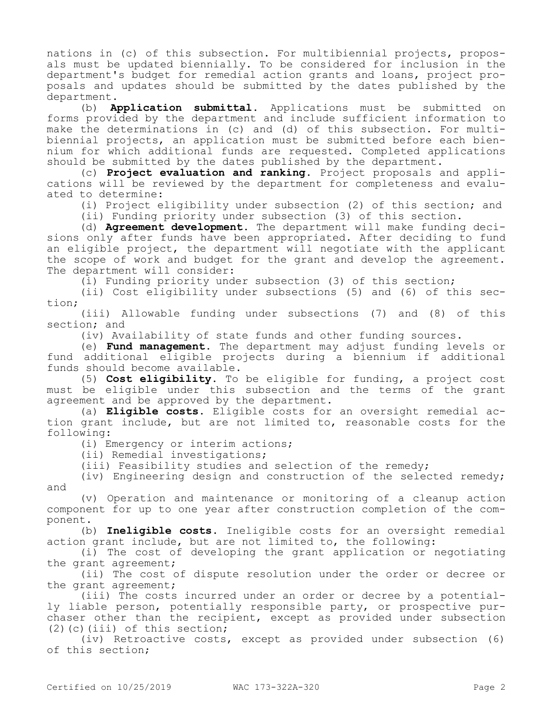nations in (c) of this subsection. For multibiennial projects, proposals must be updated biennially. To be considered for inclusion in the department's budget for remedial action grants and loans, project proposals and updates should be submitted by the dates published by the department.

(b) **Application submittal.** Applications must be submitted on forms provided by the department and include sufficient information to make the determinations in (c) and (d) of this subsection. For multibiennial projects, an application must be submitted before each biennium for which additional funds are requested. Completed applications should be submitted by the dates published by the department.

(c) **Project evaluation and ranking.** Project proposals and applications will be reviewed by the department for completeness and evaluated to determine:

(i) Project eligibility under subsection (2) of this section; and

(ii) Funding priority under subsection (3) of this section.

(d) **Agreement development.** The department will make funding decisions only after funds have been appropriated. After deciding to fund an eligible project, the department will negotiate with the applicant the scope of work and budget for the grant and develop the agreement. The department will consider:

(i) Funding priority under subsection (3) of this section;

(ii) Cost eligibility under subsections (5) and (6) of this section;

(iii) Allowable funding under subsections (7) and (8) of this section; and

(iv) Availability of state funds and other funding sources.

(e) **Fund management.** The department may adjust funding levels or fund additional eligible projects during a biennium if additional funds should become available.

(5) **Cost eligibility.** To be eligible for funding, a project cost must be eligible under this subsection and the terms of the grant agreement and be approved by the department.

(a) **Eligible costs.** Eligible costs for an oversight remedial action grant include, but are not limited to, reasonable costs for the following:

(i) Emergency or interim actions;

(ii) Remedial investigations;

(iii) Feasibility studies and selection of the remedy;

(iv) Engineering design and construction of the selected remedy; and

(v) Operation and maintenance or monitoring of a cleanup action component for up to one year after construction completion of the component.

(b) **Ineligible costs.** Ineligible costs for an oversight remedial action grant include, but are not limited to, the following:

(i) The cost of developing the grant application or negotiating the grant agreement;

(ii) The cost of dispute resolution under the order or decree or the grant agreement;

(iii) The costs incurred under an order or decree by a potentially liable person, potentially responsible party, or prospective purchaser other than the recipient, except as provided under subsection (2)(c)(iii) of this section;

(iv) Retroactive costs, except as provided under subsection (6) of this section;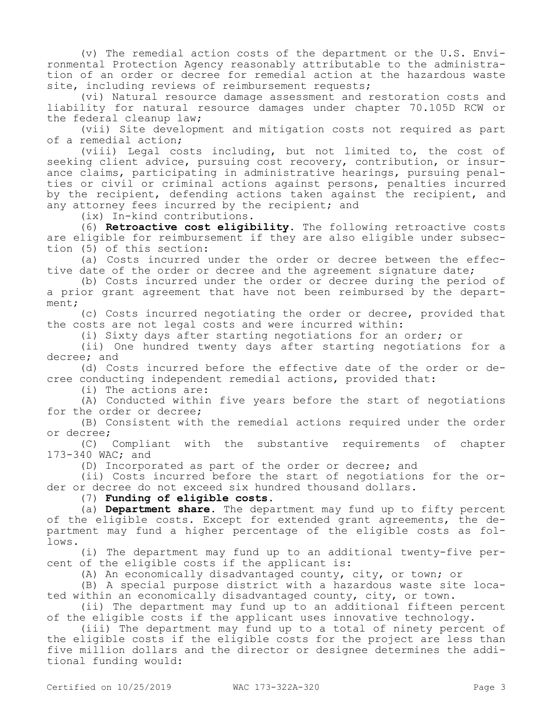(v) The remedial action costs of the department or the U.S. Environmental Protection Agency reasonably attributable to the administration of an order or decree for remedial action at the hazardous waste site, including reviews of reimbursement requests;

(vi) Natural resource damage assessment and restoration costs and liability for natural resource damages under chapter 70.105D RCW or the federal cleanup law;

(vii) Site development and mitigation costs not required as part of a remedial action;

(viii) Legal costs including, but not limited to, the cost of seeking client advice, pursuing cost recovery, contribution, or insurance claims, participating in administrative hearings, pursuing penalties or civil or criminal actions against persons, penalties incurred by the recipient, defending actions taken against the recipient, and any attorney fees incurred by the recipient; and

(ix) In-kind contributions.

(6) **Retroactive cost eligibility.** The following retroactive costs are eligible for reimbursement if they are also eligible under subsection (5) of this section:

(a) Costs incurred under the order or decree between the effective date of the order or decree and the agreement signature date;

(b) Costs incurred under the order or decree during the period of a prior grant agreement that have not been reimbursed by the department;

(c) Costs incurred negotiating the order or decree, provided that the costs are not legal costs and were incurred within:

(i) Sixty days after starting negotiations for an order; or

(ii) One hundred twenty days after starting negotiations for a decree; and

(d) Costs incurred before the effective date of the order or decree conducting independent remedial actions, provided that:

(i) The actions are:

(A) Conducted within five years before the start of negotiations for the order or decree;

(B) Consistent with the remedial actions required under the order or decree;

(C) Compliant with the substantive requirements of chapter 173-340 WAC; and

(D) Incorporated as part of the order or decree; and

(ii) Costs incurred before the start of negotiations for the order or decree do not exceed six hundred thousand dollars.

(7) **Funding of eligible costs.**

(a) **Department share.** The department may fund up to fifty percent of the eligible costs. Except for extended grant agreements, the department may fund a higher percentage of the eligible costs as follows.

(i) The department may fund up to an additional twenty-five percent of the eligible costs if the applicant is:

(A) An economically disadvantaged county, city, or town; or

(B) A special purpose district with a hazardous waste site located within an economically disadvantaged county, city, or town.

(ii) The department may fund up to an additional fifteen percent of the eligible costs if the applicant uses innovative technology.

(iii) The department may fund up to a total of ninety percent of the eligible costs if the eligible costs for the project are less than five million dollars and the director or designee determines the additional funding would: